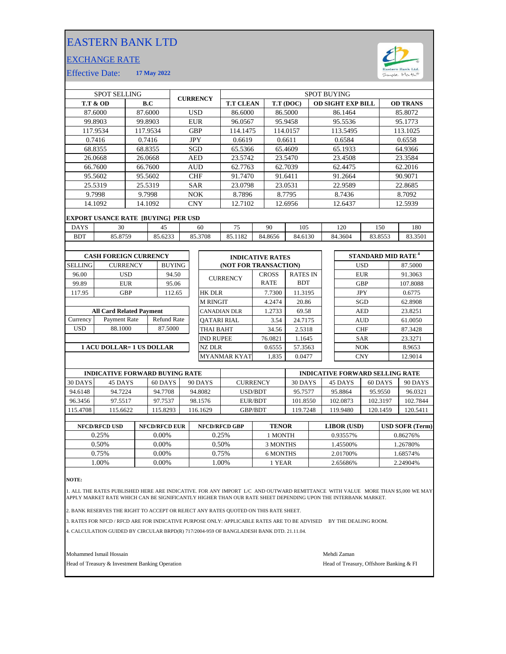## EASTERN BANK LTD

## EXCHANGE RATE



Effective Date: **17 May 2022**

| <b>SPOT SELLING</b>                   |                                                  |          |                    |          | <b>CURRENCY</b>     |                       | <b>SPOT BUYING</b>  |                         |         |              |                 |                          |                                        |            |                 |         |                                      |  |
|---------------------------------------|--------------------------------------------------|----------|--------------------|----------|---------------------|-----------------------|---------------------|-------------------------|---------|--------------|-----------------|--------------------------|----------------------------------------|------------|-----------------|---------|--------------------------------------|--|
| <b>T.T &amp; OD</b>                   |                                                  | B.C      |                    |          |                     |                       | <b>T.T CLEAN</b>    |                         |         | T.T (DOC)    |                 | <b>OD SIGHT EXP BILL</b> |                                        |            | <b>OD TRANS</b> |         |                                      |  |
|                                       | 87.6000                                          | 87.6000  |                    |          |                     | <b>USD</b>            |                     | 86.6000                 |         |              | 86.5000         |                          |                                        | 86.1464    |                 |         | 85.8072                              |  |
|                                       | 99.8903                                          | 99.8903  |                    |          |                     | <b>EUR</b>            |                     | 96.0567                 |         |              | 95.9458         |                          |                                        | 95.5536    |                 |         | 95.1773                              |  |
|                                       | 117.9534                                         | 117.9534 |                    |          |                     | <b>GBP</b>            |                     | 114.1475                |         |              | 114.0157        |                          |                                        | 113.5495   |                 |         | 113.1025                             |  |
|                                       | 0.7416                                           |          | 0.7416             |          |                     | <b>JPY</b>            |                     | 0.6619                  |         |              | 0.6611          |                          |                                        | 0.6584     |                 |         | 0.6558                               |  |
|                                       | 68.8355                                          | 68.8355  |                    |          |                     | SGD                   |                     | 65.5366                 |         |              | 65.4609         |                          |                                        | 65.1933    |                 |         | 64.9366                              |  |
|                                       | 26.0668                                          |          | 26.0668            |          | <b>AED</b>          |                       | 23.5742             |                         | 23.5470 |              |                 | 23.4508                  |                                        |            | 23.3584         |         |                                      |  |
| 66.7600                               |                                                  |          | 66.7600            |          | <b>AUD</b>          |                       | 62.7763             |                         | 62.7039 |              |                 | 62.4475                  |                                        |            | 62.2016         |         |                                      |  |
| 95.5602                               |                                                  |          | 95.5602            |          | <b>CHF</b>          |                       | 91.7470             |                         |         | 91.6411      |                 | 91.2664                  |                                        |            | 90.9071         |         |                                      |  |
| 25.5319                               |                                                  |          | 25.5319            |          | <b>SAR</b>          |                       | 23.0798             |                         | 23.0531 |              |                 | 22.9589                  |                                        |            | 22.8685         |         |                                      |  |
| 9.7998                                |                                                  |          | 9.7998             |          | <b>NOK</b>          |                       |                     | 8.7896                  |         | 8.7795       |                 | 8.7436                   |                                        |            | 8.7092          |         |                                      |  |
|                                       | 14.1092                                          |          | 14.1092            |          | <b>CNY</b>          |                       |                     | 12.7102                 |         | 12.6956      |                 |                          | 12.6437                                |            |                 | 12.5939 |                                      |  |
|                                       |                                                  |          |                    |          |                     |                       |                     |                         |         |              |                 |                          |                                        |            |                 |         |                                      |  |
| <b>DAYS</b>                           | <b>EXPORT USANCE RATE [BUYING] PER USD</b><br>30 |          |                    | 45       | 60                  |                       | 75                  | 90                      |         |              | 105             |                          | 120                                    |            | 150<br>180      |         |                                      |  |
| <b>BDT</b>                            | 85.8759                                          |          | 85.6233            | 85.3708  |                     |                       | 85.1182             |                         | 84.8656 | 84.6130      |                 |                          | 84.3604<br>83.8553                     |            |                 | 83.3501 |                                      |  |
|                                       |                                                  |          |                    |          |                     |                       |                     |                         |         |              |                 |                          |                                        |            |                 |         |                                      |  |
|                                       | <b>CASH FOREIGN CURRENCY</b>                     |          |                    |          |                     |                       |                     | <b>INDICATIVE RATES</b> |         |              |                 |                          |                                        |            |                 |         | <b>STANDARD MID RATE<sup>4</sup></b> |  |
| <b>SELLING</b><br><b>CURRENCY</b>     |                                                  |          | <b>BUYING</b>      |          |                     | (NOT FOR TRANSACTION) |                     |                         |         |              |                 |                          | <b>USD</b>                             |            |                 | 87.5000 |                                      |  |
| 96.00                                 | <b>USD</b>                                       |          |                    | 94.50    |                     |                       | <b>CURRENCY</b>     |                         |         | <b>CROSS</b> | <b>RATES IN</b> |                          |                                        |            | <b>EUR</b>      |         | 91.3063                              |  |
| 99.89                                 | <b>EUR</b>                                       |          | 95.06              |          |                     |                       |                     |                         |         | <b>RATE</b>  | <b>BDT</b>      |                          |                                        | <b>GBP</b> |                 |         | 107.8088                             |  |
| 117.95                                | <b>GBP</b>                                       |          |                    | 112.65   |                     |                       | <b>HK DLR</b>       |                         |         | 7.7300       | 11.3195         |                          |                                        |            | <b>JPY</b>      |         | 0.6775                               |  |
|                                       |                                                  |          |                    |          |                     | <b>M RINGIT</b>       |                     |                         | 4.2474  | 20.86        |                 |                          |                                        | SGD        |                 | 62.8908 |                                      |  |
| <b>All Card Related Payment</b>       |                                                  |          |                    |          |                     |                       | <b>CANADIAN DLR</b> |                         |         | 1.2733       | 69.58           |                          |                                        |            | <b>AED</b>      |         | 23.8251                              |  |
| Currency<br>Payment Rate              |                                                  |          | <b>Refund Rate</b> |          | <b>OATARI RIAL</b>  |                       |                     |                         | 3.54    | 24.7175      |                 |                          | <b>AUD</b>                             |            |                 | 61.0050 |                                      |  |
| <b>USD</b>                            | 88.1000                                          |          | 87.5000            |          |                     |                       | THAI BAHT           |                         | 34.56   | 2.5318       |                 |                          |                                        | <b>CHF</b> |                 | 87.3428 |                                      |  |
|                                       |                                                  |          |                    |          |                     | <b>IND RUPEE</b>      |                     |                         |         | 76.0821      | 1.1645          |                          |                                        |            | <b>SAR</b>      |         | 23.3271                              |  |
| <b>1 ACU DOLLAR= 1 US DOLLAR</b>      |                                                  |          |                    |          |                     |                       | NZ DLR              |                         |         | 0.6555       | 57.3563         |                          |                                        |            | <b>NOK</b>      |         | 8.9653                               |  |
|                                       |                                                  |          |                    |          | <b>MYANMAR KYAT</b> |                       |                     |                         | 1.835   | 0.0477       |                 |                          |                                        | <b>CNY</b> |                 | 12.9014 |                                      |  |
|                                       |                                                  |          |                    |          |                     |                       |                     |                         |         |              |                 |                          |                                        |            |                 |         |                                      |  |
| <b>INDICATIVE FORWARD BUYING RATE</b> |                                                  |          |                    |          |                     |                       |                     |                         |         |              |                 |                          | <b>INDICATIVE FORWARD SELLING RATE</b> |            |                 |         |                                      |  |
| 30 DAYS                               | 45 DAYS<br>60 DAYS                               |          |                    |          | 90 DAYS             |                       |                     | <b>CURRENCY</b>         |         |              |                 | 30 DAYS                  |                                        | 45 DAYS    |                 | 60 DAYS | 90 DAYS                              |  |
| 94.6148                               | 94.7224                                          |          |                    | 94.7708  |                     |                       | 94.8082             | USD/BDT                 |         |              | 95.7577         |                          |                                        | 95.8864    | 95.9550         |         | 96.0321                              |  |
| 96.3456                               | 97.5517                                          |          |                    | 97.7537  |                     |                       | 98.1576             | <b>EUR/BDT</b>          |         |              | 101.8550        |                          |                                        | 102.0873   | 102.3197        |         | 102.7844                             |  |
| 115.4708                              | 115.6622                                         |          |                    | 115.8293 |                     |                       | 116.1629            | GBP/BDT                 |         |              | 119.7248        |                          |                                        | 119.9480   | 120.1459        |         | 120.5411                             |  |

| <b>NFCD/RFCD USD</b> | <b>NFCD/RFCD EUR</b> | <b>NFCD/RFCD GBP</b> | <b>TENOR</b> | <b>LIBOR</b> (USD) | <b>USD SOFR (Term)</b> |
|----------------------|----------------------|----------------------|--------------|--------------------|------------------------|
| 0.25%                | $0.00\%$             | 0.25%                | 1 MONTH      | 0.93557%           | 0.86276%               |
| 0.50%                | $0.00\%$             | 0.50%                | 3 MONTHS     | .45500%            | 1.26780%               |
| 0.75%                | 0.00%                | 0.75%                | 6 MONTHS     | 2.01700\%          | .68574%                |
| .00%                 | 0.00%                | .00%                 | 1 YEAR       | 2.65686%           | 2.24904%               |
|                      |                      |                      |              |                    |                        |

**NOTE:**

ľ

1. ALL THE RATES PUBLISHED HERE ARE INDICATIVE. FOR ANY IMPORT L/C AND OUTWARD REMITTANCE WITH VALUE MORE THAN \$5,000 WE MAY<br>APPLY MARKET RATE WHICH CAN BE SIGNIFICANTLY HIGHER THAN OUR RATE SHEET DEPENDING UPON THE IN

2. BANK RESERVES THE RIGHT TO ACCEPT OR REJECT ANY RATES QUOTED ON THIS RATE SHEET.

3. RATES FOR NFCD / RFCD ARE FOR INDICATIVE PURPOSE ONLY: APPLICABLE RATES ARE TO BE ADVISED BY THE DEALING ROOM.

4. CALCULATION GUIDED BY CIRCULAR BRPD(R) 717/2004-959 OF BANGLADESH BANK DTD. 21.11.04.

Mohammed Ismail Hossain Mehdi Zaman

Head of Treasury & Investment Banking Operation **Head of Treasury, Offshore Banking & FI**